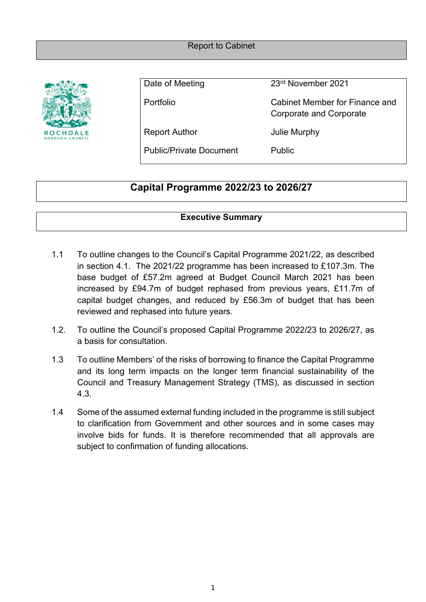#### Report to Cabinet



Date of Meeting 23<sup>rd</sup> November 2021

Portfolio Cabinet Member for Finance and Corporate and Corporate

Report Author **In the Separate Separate Separate Author** Julie Murphy

Public/Private Document Public

# **Capital Programme 2022/23 to 2026/27**

#### **Executive Summary**

- 1.1 To outline changes to the Council's Capital Programme 2021/22, as described in section 4.1. The 2021/22 programme has been increased to £107.3m. The base budget of £57.2m agreed at Budget Council March 2021 has been increased by £94.7m of budget rephased from previous years, £11.7m of capital budget changes, and reduced by £56.3m of budget that has been reviewed and rephased into future years.
- 1.2. To outline the Council's proposed Capital Programme 2022/23 to 2026/27, as a basis for consultation.
- 1.3 To outline Members' of the risks of borrowing to finance the Capital Programme and its long term impacts on the longer term financial sustainability of the Council and Treasury Management Strategy (TMS), as discussed in section 4.3.
- 1.4 Some of the assumed external funding included in the programme is still subject to clarification from Government and other sources and in some cases may involve bids for funds. It is therefore recommended that all approvals are subject to confirmation of funding allocations.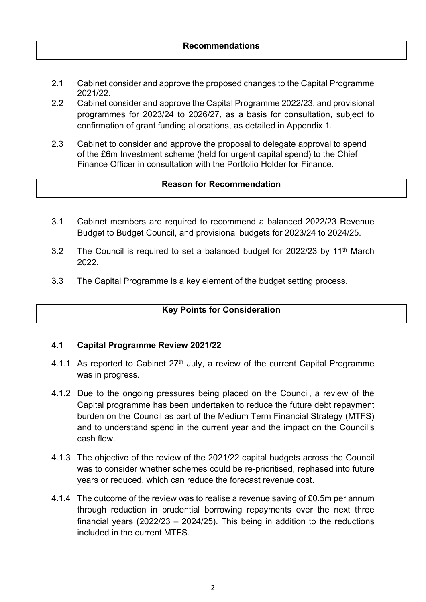- 2.1 Cabinet consider and approve the proposed changes to the Capital Programme 2021/22.
- 2.2 Cabinet consider and approve the Capital Programme 2022/23, and provisional programmes for 2023/24 to 2026/27, as a basis for consultation, subject to confirmation of grant funding allocations, as detailed in Appendix 1.
- 2.3 Cabinet to consider and approve the proposal to delegate approval to spend of the £6m Investment scheme (held for urgent capital spend) to the Chief Finance Officer in consultation with the Portfolio Holder for Finance.

#### **Reason for Recommendation**

- 3.1 Cabinet members are required to recommend a balanced 2022/23 Revenue Budget to Budget Council, and provisional budgets for 2023/24 to 2024/25.
- 3.2 The Council is required to set a balanced budget for 2022/23 by 11<sup>th</sup> March 2022.
- 3.3 The Capital Programme is a key element of the budget setting process.

# **Key Points for Consideration**

#### **4.1 Capital Programme Review 2021/22**

- 4.1.1 As reported to Cabinet  $27<sup>th</sup>$  July, a review of the current Capital Programme was in progress.
- 4.1.2 Due to the ongoing pressures being placed on the Council, a review of the Capital programme has been undertaken to reduce the future debt repayment burden on the Council as part of the Medium Term Financial Strategy (MTFS) and to understand spend in the current year and the impact on the Council's cash flow.
- 4.1.3 The objective of the review of the 2021/22 capital budgets across the Council was to consider whether schemes could be re-prioritised, rephased into future years or reduced, which can reduce the forecast revenue cost.
- 4.1.4 The outcome of the review was to realise a revenue saving of £0.5m per annum through reduction in prudential borrowing repayments over the next three financial years (2022/23 – 2024/25). This being in addition to the reductions included in the current MTFS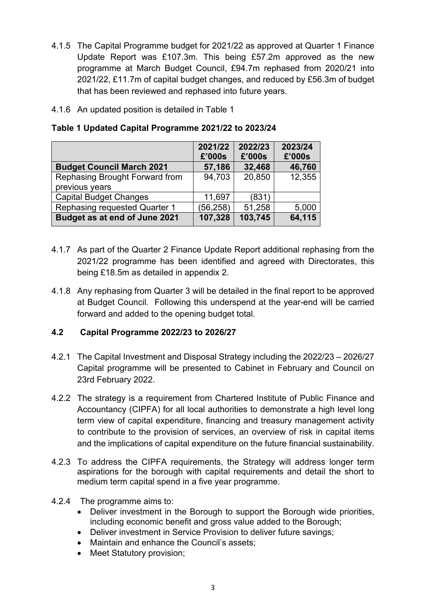- 4.1.5 The Capital Programme budget for 2021/22 as approved at Quarter 1 Finance Update Report was £107.3m. This being £57.2m approved as the new programme at March Budget Council, £94.7m rephased from 2020/21 into 2021/22, £11.7m of capital budget changes, and reduced by £56.3m of budget that has been reviewed and rephased into future years.
- 4.1.6 An updated position is detailed in Table 1

|  | Table 1 Updated Capital Programme 2021/22 to 2023/24 |  |
|--|------------------------------------------------------|--|
|  |                                                      |  |

|                                  | 2021/22   | 2022/23 | 2023/24 |
|----------------------------------|-----------|---------|---------|
|                                  | £'000s    | £'000s  | £'000s  |
| <b>Budget Council March 2021</b> | 57,186    | 32,468  | 46,760  |
| Rephasing Brought Forward from   | 94,703    | 20,850  | 12,355  |
| previous years                   |           |         |         |
| <b>Capital Budget Changes</b>    | 11,697    | (831)   |         |
| Rephasing requested Quarter 1    | (56, 258) | 51,258  | 5,000   |
| Budget as at end of June 2021    | 107,328   | 103,745 | 64,115  |

- 4.1.7 As part of the Quarter 2 Finance Update Report additional rephasing from the 2021/22 programme has been identified and agreed with Directorates, this being £18.5m as detailed in appendix 2.
- 4.1.8 Any rephasing from Quarter 3 will be detailed in the final report to be approved at Budget Council. Following this underspend at the year-end will be carried forward and added to the opening budget total.

#### **4.2 Capital Programme 2022/23 to 2026/27**

- 4.2.1 The Capital Investment and Disposal Strategy including the 2022/23 2026/27 Capital programme will be presented to Cabinet in February and Council on 23rd February 2022.
- 4.2.2 The strategy is a requirement from Chartered Institute of Public Finance and Accountancy (CIPFA) for all local authorities to demonstrate a high level long term view of capital expenditure, financing and treasury management activity to contribute to the provision of services, an overview of risk in capital items and the implications of capital expenditure on the future financial sustainability.
- 4.2.3 To address the CIPFA requirements, the Strategy will address longer term aspirations for the borough with capital requirements and detail the short to medium term capital spend in a five year programme.
- 4.2.4 The programme aims to:
	- Deliver investment in the Borough to support the Borough wide priorities, including economic benefit and gross value added to the Borough;
	- Deliver investment in Service Provision to deliver future savings;
	- Maintain and enhance the Council's assets;
	- Meet Statutory provision;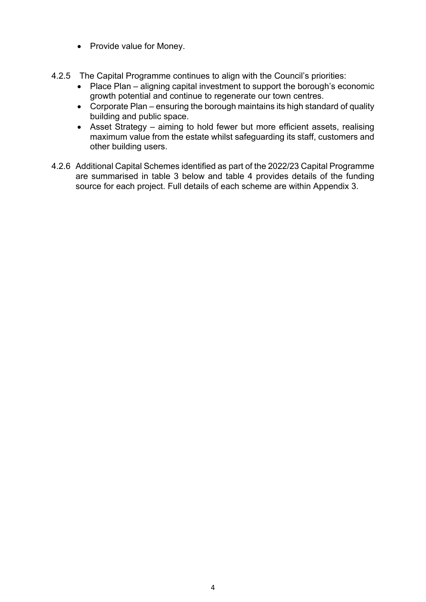- Provide value for Money.
- 4.2.5 The Capital Programme continues to align with the Council's priorities:
	- Place Plan aligning capital investment to support the borough's economic growth potential and continue to regenerate our town centres.
	- Corporate Plan ensuring the borough maintains its high standard of quality building and public space.
	- Asset Strategy aiming to hold fewer but more efficient assets, realising maximum value from the estate whilst safeguarding its staff, customers and other building users.
- 4.2.6 Additional Capital Schemes identified as part of the 2022/23 Capital Programme are summarised in table 3 below and table 4 provides details of the funding source for each project. Full details of each scheme are within Appendix 3.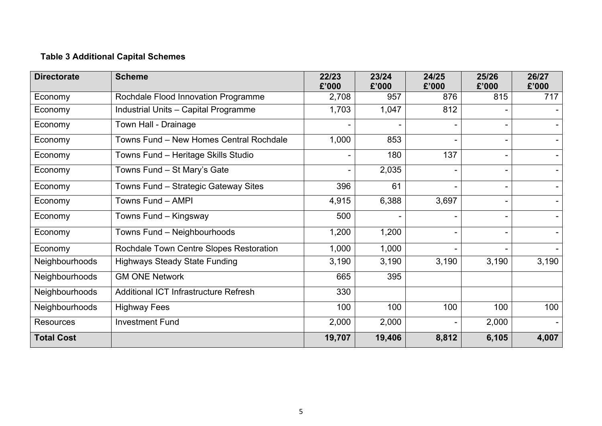# **Table 3 Additional Capital Schemes**

| <b>Directorate</b> | <b>Scheme</b>                                | 22/23<br>£'000 | 23/24<br>£'000 | 24/25<br>£'000 | 25/26<br>£'000 | 26/27<br>£'000           |
|--------------------|----------------------------------------------|----------------|----------------|----------------|----------------|--------------------------|
| Economy            | Rochdale Flood Innovation Programme          | 2,708          | 957            | 876            | 815            | 717                      |
| Economy            | Industrial Units - Capital Programme         | 1,703          | 1,047          | 812            |                |                          |
| Economy            | Town Hall - Drainage                         |                |                |                |                |                          |
| Economy            | Towns Fund - New Homes Central Rochdale      | 1,000          | 853            |                |                |                          |
| Economy            | Towns Fund - Heritage Skills Studio          |                | 180            | 137            |                |                          |
| Economy            | Towns Fund - St Mary's Gate                  |                | 2,035          |                |                |                          |
| Economy            | Towns Fund - Strategic Gateway Sites         | 396            | 61             |                |                |                          |
| Economy            | Towns Fund - AMPI                            | 4,915          | 6,388          | 3,697          |                | $\overline{\phantom{0}}$ |
| Economy            | Towns Fund - Kingsway                        | 500            |                |                |                |                          |
| Economy            | Towns Fund - Neighbourhoods                  | 1,200          | 1,200          |                |                |                          |
| Economy            | Rochdale Town Centre Slopes Restoration      | 1,000          | 1,000          |                |                | Ξ.                       |
| Neighbourhoods     | <b>Highways Steady State Funding</b>         | 3,190          | 3,190          | 3,190          | 3,190          | 3,190                    |
| Neighbourhoods     | <b>GM ONE Network</b>                        | 665            | 395            |                |                |                          |
| Neighbourhoods     | <b>Additional ICT Infrastructure Refresh</b> | 330            |                |                |                |                          |
| Neighbourhoods     | <b>Highway Fees</b>                          | 100            | 100            | 100            | 100            | 100                      |
| <b>Resources</b>   | <b>Investment Fund</b>                       | 2,000          | 2,000          |                | 2,000          | Ξ.                       |
| <b>Total Cost</b>  |                                              | 19,707         | 19,406         | 8,812          | 6,105          | 4,007                    |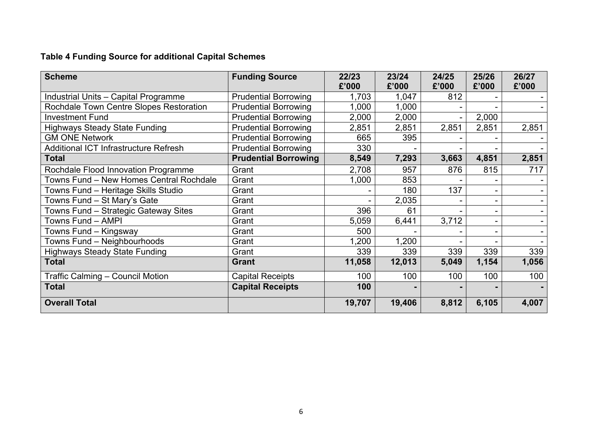# **Table 4 Funding Source for additional Capital Schemes**

| <b>Scheme</b>                                | <b>Funding Source</b>       | 22/23<br>£'000 | 23/24<br>£'000 | 24/25<br>£'000 | 25/26<br>£'000 | 26/27<br>£'000 |
|----------------------------------------------|-----------------------------|----------------|----------------|----------------|----------------|----------------|
| Industrial Units - Capital Programme         | <b>Prudential Borrowing</b> | 1,703          | 1,047          | 812            |                |                |
| Rochdale Town Centre Slopes Restoration      | <b>Prudential Borrowing</b> | 1,000          | 1,000          |                |                |                |
| <b>Investment Fund</b>                       | <b>Prudential Borrowing</b> | 2,000          | 2,000          |                | 2,000          |                |
| <b>Highways Steady State Funding</b>         | <b>Prudential Borrowing</b> | 2,851          | 2,851          | 2,851          | 2,851          | 2,851          |
| <b>GM ONE Network</b>                        | <b>Prudential Borrowing</b> | 665            | 395            |                |                |                |
| <b>Additional ICT Infrastructure Refresh</b> | <b>Prudential Borrowing</b> | 330            |                |                |                |                |
| <b>Total</b>                                 | <b>Prudential Borrowing</b> | 8,549          | 7,293          | 3,663          | 4,851          | 2,851          |
| Rochdale Flood Innovation Programme          | Grant                       | 2,708          | 957            | 876            | 815            | 717            |
| Towns Fund - New Homes Central Rochdale      | Grant                       | 1,000          | 853            |                |                |                |
| Towns Fund - Heritage Skills Studio          | Grant                       |                | 180            | 137            |                |                |
| Towns Fund - St Mary's Gate                  | Grant                       |                | 2,035          |                |                |                |
| Towns Fund - Strategic Gateway Sites         | Grant                       | 396            | 61             |                |                |                |
| Towns Fund - AMPI                            | Grant                       | 5,059          | 6,441          | 3,712          |                |                |
| Towns Fund – Kingsway                        | Grant                       | 500            |                |                |                |                |
| Towns Fund - Neighbourhoods                  | Grant                       | 1,200          | 1,200          |                |                |                |
| <b>Highways Steady State Funding</b>         | Grant                       | 339            | 339            | 339            | 339            | 339            |
| <b>Total</b>                                 | <b>Grant</b>                | 11,058         | 12,013         | 5,049          | 1,154          | 1,056          |
| Traffic Calming - Council Motion             | <b>Capital Receipts</b>     | 100            | 100            | 100            | 100            | 100            |
| <b>Total</b>                                 | <b>Capital Receipts</b>     | 100            |                |                |                |                |
| <b>Overall Total</b>                         |                             | 19,707         | 19,406         | 8,812          | 6,105          | 4,007          |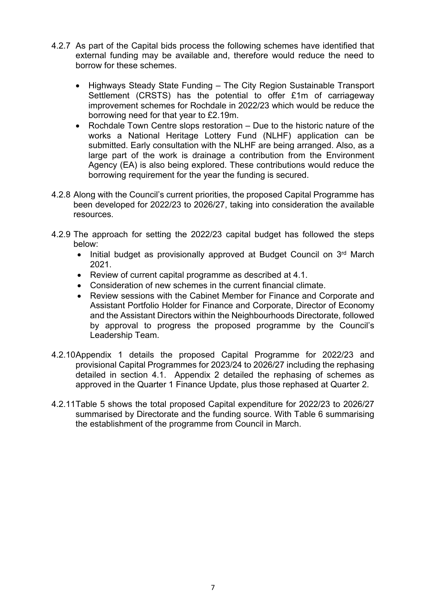- 4.2.7 As part of the Capital bids process the following schemes have identified that external funding may be available and, therefore would reduce the need to borrow for these schemes.
	- Highways Steady State Funding The City Region Sustainable Transport Settlement (CRSTS) has the potential to offer £1m of carriageway improvement schemes for Rochdale in 2022/23 which would be reduce the borrowing need for that year to £2.19m.
	- Rochdale Town Centre slops restoration Due to the historic nature of the works a National Heritage Lottery Fund (NLHF) application can be submitted. Early consultation with the NLHF are being arranged. Also, as a large part of the work is drainage a contribution from the Environment Agency (EA) is also being explored. These contributions would reduce the borrowing requirement for the year the funding is secured.
- 4.2.8 Along with the Council's current priorities, the proposed Capital Programme has been developed for 2022/23 to 2026/27, taking into consideration the available resources.
- 4.2.9 The approach for setting the 2022/23 capital budget has followed the steps below:
	- Initial budget as provisionally approved at Budget Council on 3rd March 2021.
	- Review of current capital programme as described at 4.1.
	- Consideration of new schemes in the current financial climate.
	- Review sessions with the Cabinet Member for Finance and Corporate and Assistant Portfolio Holder for Finance and Corporate, Director of Economy and the Assistant Directors within the Neighbourhoods Directorate, followed by approval to progress the proposed programme by the Council's Leadership Team.
- 4.2.10Appendix 1 details the proposed Capital Programme for 2022/23 and provisional Capital Programmes for 2023/24 to 2026/27 including the rephasing detailed in section 4.1. Appendix 2 detailed the rephasing of schemes as approved in the Quarter 1 Finance Update, plus those rephased at Quarter 2.
- 4.2.11Table 5 shows the total proposed Capital expenditure for 2022/23 to 2026/27 summarised by Directorate and the funding source. With Table 6 summarising the establishment of the programme from Council in March.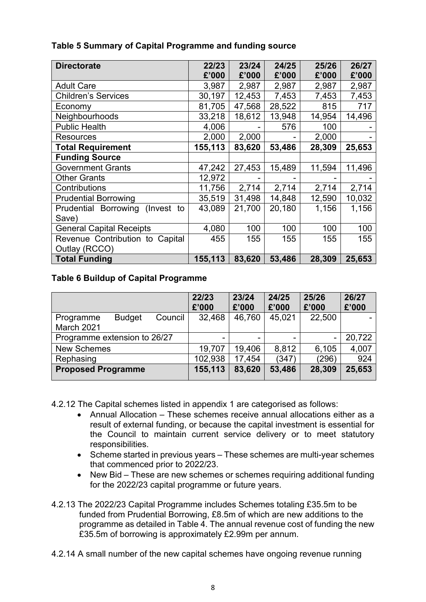| <b>Directorate</b>              | 22/23   | 23/24  | 24/25  | 25/26  | 26/27  |
|---------------------------------|---------|--------|--------|--------|--------|
|                                 | £'000   | £'000  | £'000  | £'000  | £'000  |
| <b>Adult Care</b>               | 3,987   | 2,987  | 2,987  | 2,987  | 2,987  |
| <b>Children's Services</b>      | 30,197  | 12,453 | 7,453  | 7,453  | 7,453  |
| Economy                         | 81,705  | 47,568 | 28,522 | 815    | 717    |
| Neighbourhoods                  | 33,218  | 18,612 | 13,948 | 14,954 | 14,496 |
| <b>Public Health</b>            | 4,006   |        | 576    | 100    |        |
| <b>Resources</b>                | 2,000   | 2,000  |        | 2,000  |        |
| <b>Total Requirement</b>        | 155,113 | 83,620 | 53,486 | 28,309 | 25,653 |
| <b>Funding Source</b>           |         |        |        |        |        |
| <b>Government Grants</b>        | 47,242  | 27,453 | 15,489 | 11,594 | 11,496 |
| <b>Other Grants</b>             | 12,972  |        |        |        |        |
| Contributions                   | 11,756  | 2,714  | 2,714  | 2,714  | 2,714  |
| <b>Prudential Borrowing</b>     | 35,519  | 31,498 | 14,848 | 12,590 | 10,032 |
| Prudential Borrowing (Invest to | 43,089  | 21,700 | 20,180 | 1,156  | 1,156  |
| Save)                           |         |        |        |        |        |
| <b>General Capital Receipts</b> | 4,080   | 100    | 100    | 100    | 100    |
| Revenue Contribution to Capital | 455     | 155    | 155    | 155    | 155    |
| Outlay (RCCO)                   |         |        |        |        |        |
| <b>Total Funding</b>            | 155,113 | 83,620 | 53,486 | 28,309 | 25,653 |

# **Table 5 Summary of Capital Programme and funding source**

#### **Table 6 Buildup of Capital Programme**

|                              |               |         | 22/23<br>£'000 | 23/24<br>£'000 | 24/25<br>£'000 | 25/26<br>£'000 | 26/27<br>£'000 |
|------------------------------|---------------|---------|----------------|----------------|----------------|----------------|----------------|
| Programme<br>March 2021      | <b>Budget</b> | Council | 32,468         | 46,760         | 45,021         | 22,500         |                |
| Programme extension to 26/27 |               |         | -              |                |                | -              | 20,722         |
| <b>New Schemes</b>           |               |         | 19,707         | 19,406         | 8,812          | 6,105          | 4,007          |
| Rephasing                    |               |         | 102,938        | 17,454         | (347)          | (296)          | 924            |
| <b>Proposed Programme</b>    |               | 155,113 | 83,620         | 53,486         | 28,309         | 25,653         |                |

4.2.12 The Capital schemes listed in appendix 1 are categorised as follows:

- Annual Allocation These schemes receive annual allocations either as a result of external funding, or because the capital investment is essential for the Council to maintain current service delivery or to meet statutory responsibilities.
- Scheme started in previous years These schemes are multi-year schemes that commenced prior to 2022/23.
- New Bid These are new schemes or schemes requiring additional funding for the 2022/23 capital programme or future years.
- 4.2.13 The 2022/23 Capital Programme includes Schemes totaling £35.5m to be funded from Prudential Borrowing, £8.5m of which are new additions to the programme as detailed in Table 4. The annual revenue cost of funding the new £35.5m of borrowing is approximately £2.99m per annum.
- 4.2.14 A small number of the new capital schemes have ongoing revenue running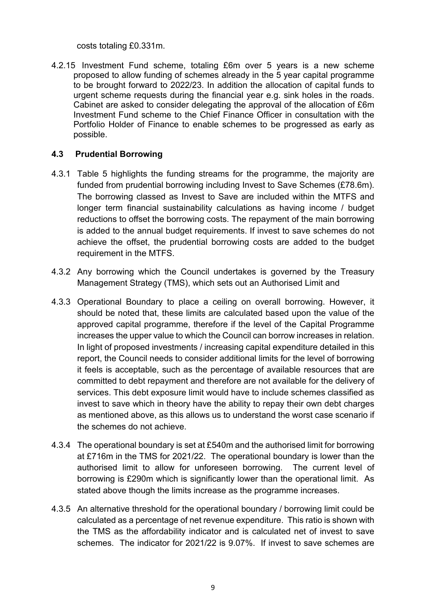costs totaling £0.331m.

4.2.15 Investment Fund scheme, totaling £6m over 5 years is a new scheme proposed to allow funding of schemes already in the 5 year capital programme to be brought forward to 2022/23. In addition the allocation of capital funds to urgent scheme requests during the financial year e.g. sink holes in the roads. Cabinet are asked to consider delegating the approval of the allocation of £6m Investment Fund scheme to the Chief Finance Officer in consultation with the Portfolio Holder of Finance to enable schemes to be progressed as early as possible.

# **4.3 Prudential Borrowing**

- 4.3.1 Table 5 highlights the funding streams for the programme, the majority are funded from prudential borrowing including Invest to Save Schemes (£78.6m). The borrowing classed as Invest to Save are included within the MTFS and longer term financial sustainability calculations as having income / budget reductions to offset the borrowing costs. The repayment of the main borrowing is added to the annual budget requirements. If invest to save schemes do not achieve the offset, the prudential borrowing costs are added to the budget requirement in the MTFS.
- 4.3.2 Any borrowing which the Council undertakes is governed by the Treasury Management Strategy (TMS), which sets out an Authorised Limit and
- 4.3.3 Operational Boundary to place a ceiling on overall borrowing. However, it should be noted that, these limits are calculated based upon the value of the approved capital programme, therefore if the level of the Capital Programme increases the upper value to which the Council can borrow increases in relation. In light of proposed investments / increasing capital expenditure detailed in this report, the Council needs to consider additional limits for the level of borrowing it feels is acceptable, such as the percentage of available resources that are committed to debt repayment and therefore are not available for the delivery of services. This debt exposure limit would have to include schemes classified as invest to save which in theory have the ability to repay their own debt charges as mentioned above, as this allows us to understand the worst case scenario if the schemes do not achieve.
- 4.3.4 The operational boundary is set at £540m and the authorised limit for borrowing at £716m in the TMS for 2021/22. The operational boundary is lower than the authorised limit to allow for unforeseen borrowing. The current level of borrowing is £290m which is significantly lower than the operational limit. As stated above though the limits increase as the programme increases.
- 4.3.5 An alternative threshold for the operational boundary / borrowing limit could be calculated as a percentage of net revenue expenditure. This ratio is shown with the TMS as the affordability indicator and is calculated net of invest to save schemes. The indicator for 2021/22 is 9.07%. If invest to save schemes are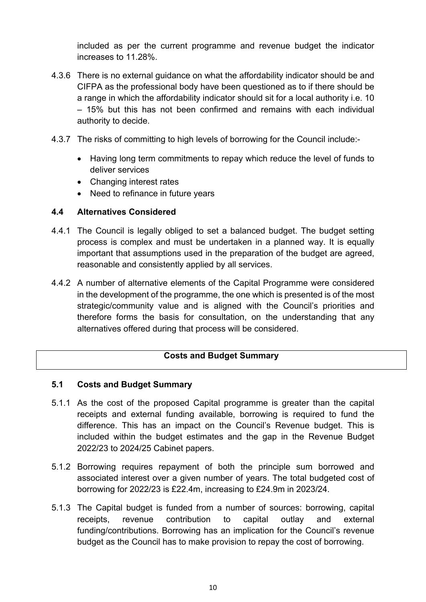included as per the current programme and revenue budget the indicator increases to 11.28%.

- 4.3.6 There is no external guidance on what the affordability indicator should be and CIFPA as the professional body have been questioned as to if there should be a range in which the affordability indicator should sit for a local authority i.e. 10 – 15% but this has not been confirmed and remains with each individual authority to decide.
- 4.3.7 The risks of committing to high levels of borrowing for the Council include:-
	- Having long term commitments to repay which reduce the level of funds to deliver services
	- Changing interest rates
	- Need to refinance in future years

# **4.4 Alternatives Considered**

- 4.4.1 The Council is legally obliged to set a balanced budget. The budget setting process is complex and must be undertaken in a planned way. It is equally important that assumptions used in the preparation of the budget are agreed, reasonable and consistently applied by all services.
- 4.4.2 A number of alternative elements of the Capital Programme were considered in the development of the programme, the one which is presented is of the most strategic/community value and is aligned with the Council's priorities and therefore forms the basis for consultation, on the understanding that any alternatives offered during that process will be considered.

# **Costs and Budget Summary**

# **5.1 Costs and Budget Summary**

- 5.1.1 As the cost of the proposed Capital programme is greater than the capital receipts and external funding available, borrowing is required to fund the difference. This has an impact on the Council's Revenue budget. This is included within the budget estimates and the gap in the Revenue Budget 2022/23 to 2024/25 Cabinet papers.
- 5.1.2 Borrowing requires repayment of both the principle sum borrowed and associated interest over a given number of years. The total budgeted cost of borrowing for 2022/23 is £22.4m, increasing to £24.9m in 2023/24.
- 5.1.3 The Capital budget is funded from a number of sources: borrowing, capital receipts, revenue contribution to capital outlay and external funding/contributions. Borrowing has an implication for the Council's revenue budget as the Council has to make provision to repay the cost of borrowing.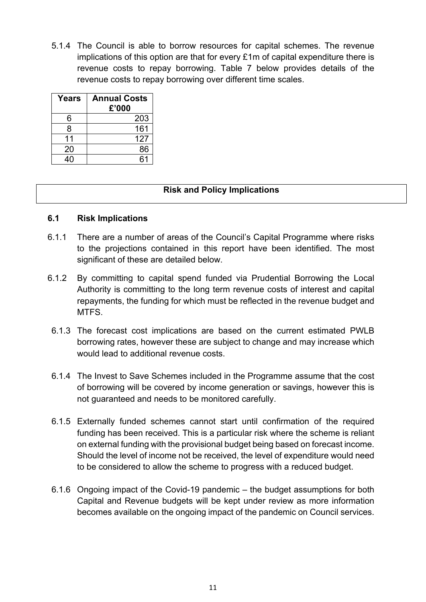5.1.4 The Council is able to borrow resources for capital schemes. The revenue implications of this option are that for every £1m of capital expenditure there is revenue costs to repay borrowing. Table 7 below provides details of the revenue costs to repay borrowing over different time scales.

| Years | <b>Annual Costs</b><br>£'000 |
|-------|------------------------------|
| 6     | 203                          |
| 8     | 161                          |
| 11    | 127                          |
| 20    | 86                           |
|       | հ1                           |

# **Risk and Policy Implications**

#### **6.1 Risk Implications**

- 6.1.1 There are a number of areas of the Council's Capital Programme where risks to the projections contained in this report have been identified. The most significant of these are detailed below.
- 6.1.2 By committing to capital spend funded via Prudential Borrowing the Local Authority is committing to the long term revenue costs of interest and capital repayments, the funding for which must be reflected in the revenue budget and MTFS.
	- 6.1.3 The forecast cost implications are based on the current estimated PWLB borrowing rates, however these are subject to change and may increase which would lead to additional revenue costs.
	- 6.1.4 The Invest to Save Schemes included in the Programme assume that the cost of borrowing will be covered by income generation or savings, however this is not guaranteed and needs to be monitored carefully.
	- 6.1.5 Externally funded schemes cannot start until confirmation of the required funding has been received. This is a particular risk where the scheme is reliant on external funding with the provisional budget being based on forecast income. Should the level of income not be received, the level of expenditure would need to be considered to allow the scheme to progress with a reduced budget.
	- 6.1.6 Ongoing impact of the Covid-19 pandemic the budget assumptions for both Capital and Revenue budgets will be kept under review as more information becomes available on the ongoing impact of the pandemic on Council services.